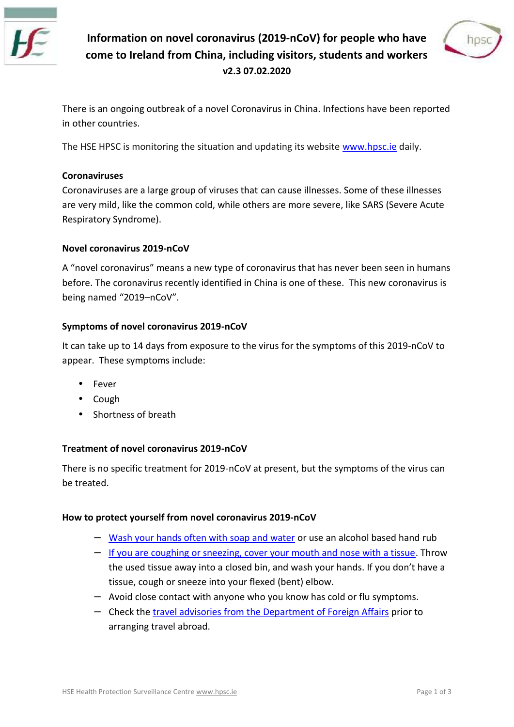Information movel coro 2002 1 w 30 O version people who have comeo Ireland from China, including visitors, stud v2.3 07.02.2020

There is an ongoing ou Chorrecenka voif Cubasinlians fections have been reported in China. In China. Infections have been reported in The Theorem in China. In The Theorem in The Theorem in The Theorem in The Theorem in The inother countries

The HSE HPSC is monitoring the situatwow.ahpodcamidentating its w

Coronaviruses Coronaviruses are a large gramup acufis  $\boldsymbol{\mathsf{w}}$  in the set of these steps. Some of these are very mild, like the common cold, while others are more se Respiratory Syndrome).

 $Novel corona v - nQo V2019$ 

A novel coronavirus tympena fraction and that the enhances are a humans before. The coronavirus recently identified in China is one o being named nC2o0V19

Symptoms of novel corrochavirus 2019

It can take up ftroom 4 de dings the the the distribution of the m2s0-not  $\blacksquare$  of  $\blacksquare$  of  $\blacksquare$  to appear. These symptoms include:

- · Fever
- · Cough
- · Shortness of breath

Treatment of novel comcChoaWirus 2019

There is no specific trenaCtoraMe rptreischenn $P$ tothend symptoms of the virus be treated.

How to protect you as elf cforom a virus  $\sqrt{2019}$ 

- [Wash your hands often](https://www.hpsc.ie/a-z/gastroenteric/handwashing/postersvideos/) with sussepanal conditional based hand
- [If you are coughing or sneezing, cover](https://www.hpsc.ie/a-z/respiratory/influenza/seasonalinfluenza/infectioncontroladvice/respiratoryhygieneposters/Primary English.pdf) your Throwth and the used tissue alwaved riction, a and wash your hands. If yo tissue, cough or sneeze into your flexed (bent) elbow.
- Avoid close contact with anyone who you know has col
- Check the sel advisorhies Dierporant timent of Foreogn to Affairs arranging travel abroad.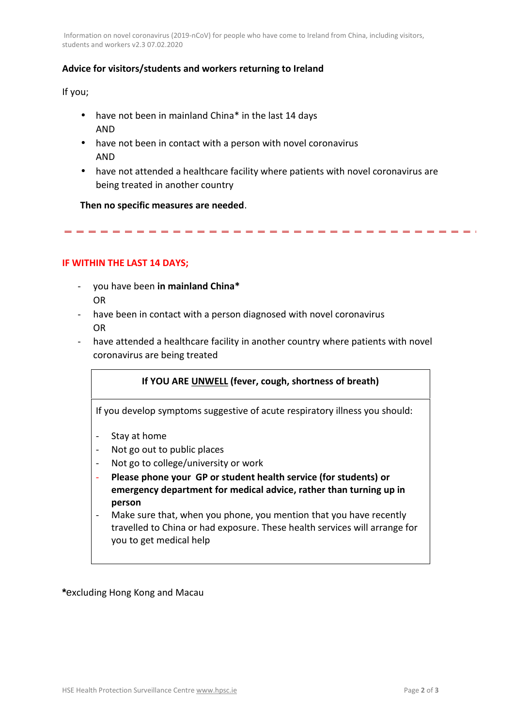Information ovel cor (2n0 al-10 i@ N\$ or people who have ect a mote from China, including visitor students and  $\nu$   $\nu$   $\lambda$   $r$   $\nu$   $\lambda$   $r$   $\lambda$   $r$   $\lambda$   $r$   $\lambda$   $r$   $\lambda$   $r$   $\lambda$   $r$   $\lambda$   $r$   $\lambda$   $r$   $\lambda$   $r$   $\lambda$   $r$   $\lambda$   $r$   $\lambda$   $r$   $\lambda$   $r$   $\lambda$   $r$   $\lambda$   $r$   $\lambda$   $r$   $\lambda$   $r$   $\lambda$   $r$   $\lambda$   $r$   $\lambda$   $r$   $\lambda$ 

## Advice visitors/students ane du who inkge to Ireland

Ifyou;

- $\cdot$  havenobe en in mainlamd to be in the st 14 days AND
- $\cdot$  haven the been in contact with a person with novel coronavi AND
- $\cdot$  haven ot attended a healthcare facility where patients with being treatand other country

Then no specific measures are needed .

## IF WITHIN THE ALYASS; T 14

- you h**avee**im mainland China OR
- had been in contact with a person diagnosed with novel co OR
- haveatte nded a healthiona asen of tahoei ritowy ohuen ter ypatients with novel coronavirus are being treated

If YOU AURNEW  $E(\text{Ld} \vee e \wedge \text{c} \vee \text{e} \wedge \text{d} \wedge \text{e} \wedge \text{d} \wedge \text{d} \wedge \text{d} \wedge \text{d} \wedge \text{e} \wedge \text{e} \wedge \text{e} \wedge \text{e} \wedge \text{e} \wedge \text{e} \wedge \text{e} \wedge \text{e} \wedge \text{e} \wedge \text{e} \wedge \text{e} \wedge \text{e} \wedge \text{e} \wedge \text{e} \wedge \text{e} \wedge \text{e} \wedge$ 

If you develom p to ms suggestive of acute respirations of

- Stay at home
- Not go out to public places
- Not goc to blege/university or work
- Pleashop meouGPor student health service (for emergedecy artment medical, advice than turning person
- Make sure that, when you pthoanteyo yuo rube and enti travelled to China or The dee heast threservices youto get medical help

\*excluding Ho**ag**dKMagau